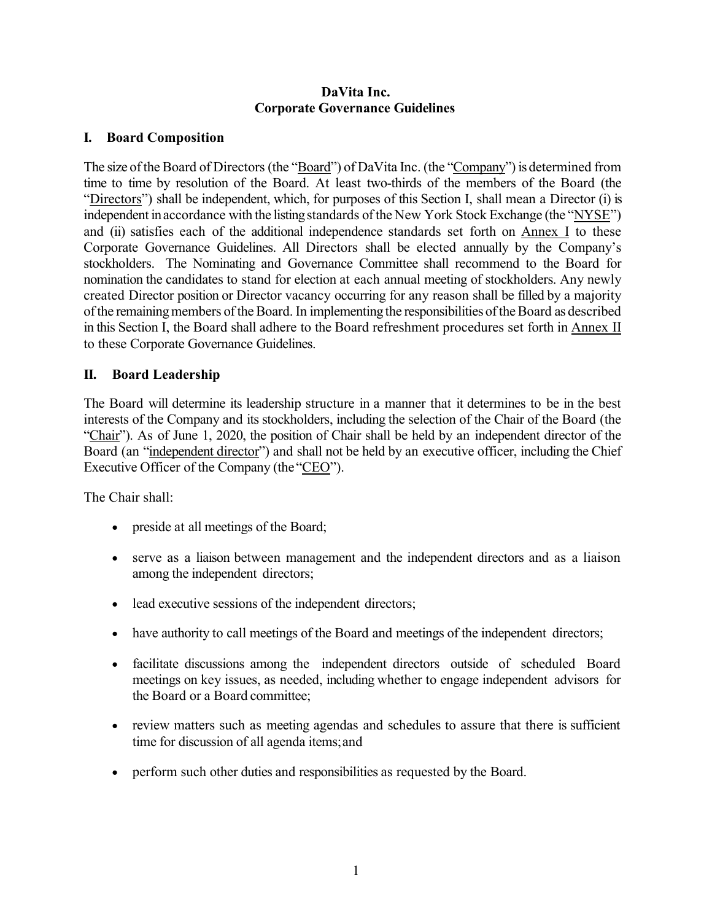#### **DaVita Inc. Corporate Governance Guidelines**

## **I. Board Composition**

The size of the Board of Directors (the "Board") of DaVita Inc. (the "Company") is determined from time to time by resolution of the Board. At least two-thirds of the members of the Board (the "Directors") shall be independent, which, for purposes of this Section I, shall mean a Director (i) is independent in accordance with the listing standards of the New York Stock Exchange (the "NYSE") and (ii) satisfies each of the additional independence standards set forth on Annex I to these Corporate Governance Guidelines. All Directors shall be elected annually by the Company's stockholders. The Nominating and Governance Committee shall recommend to the Board for nomination the candidates to stand for election at each annual meeting of stockholders. Any newly created Director position or Director vacancy occurring for any reason shall be filled by a majority of the remaining members of the Board. In implementing the responsibilities of the Board as described in this Section I, the Board shall adhere to the Board refreshment procedures set forth in Annex II to these Corporate Governance Guidelines.

### **II. Board Leadership**

The Board will determine its leadership structure in a manner that it determines to be in the best interests of the Company and its stockholders, including the selection of the Chair of the Board (the "Chair"). As of June 1, 2020, the position of Chair shall be held by an independent director of the Board (an "independent director") and shall not be held by an executive officer, including the Chief Executive Officer of the Company (the "CEO").

The Chair shall:

- preside at all meetings of the Board;
- serve as a liaison between management and the independent directors and as a liaison among the independent directors;
- lead executive sessions of the independent directors;
- have authority to call meetings of the Board and meetings of the independent directors;
- facilitate discussions among the independent directors outside of scheduled Board meetings on key issues, as needed, including whether to engage independent advisors for the Board or a Board committee;
- review matters such as meeting agendas and schedules to assure that there is sufficient time for discussion of all agenda items;and
- perform such other duties and responsibilities as requested by the Board.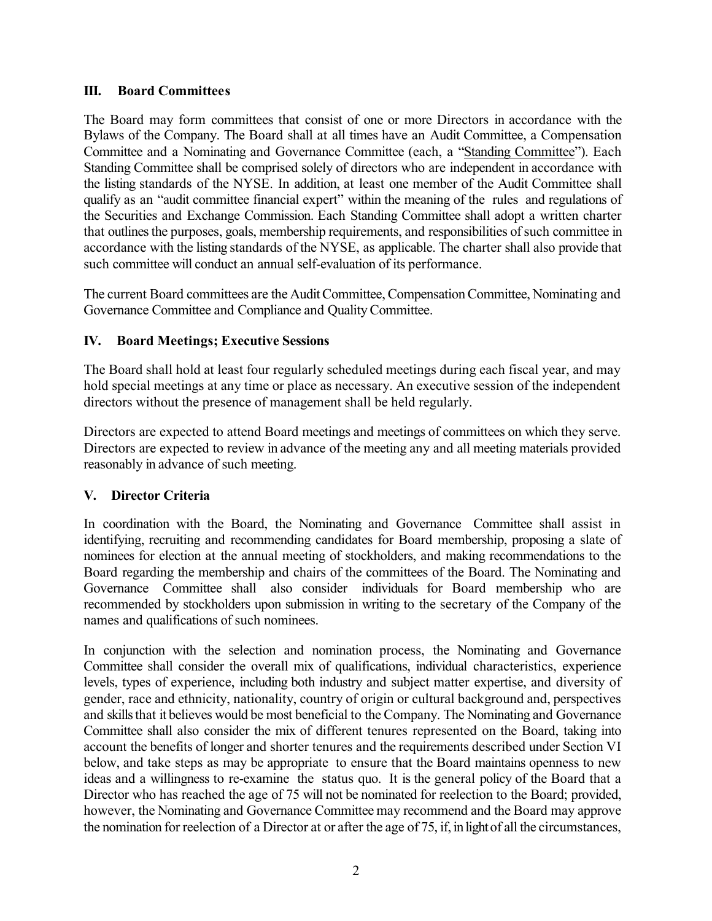#### **III. Board Committees**

The Board may form committees that consist of one or more Directors in accordance with the Bylaws of the Company. The Board shall at all times have an Audit Committee, a Compensation Committee and a Nominating and Governance Committee (each, a "Standing Committee"). Each Standing Committee shall be comprised solely of directors who are independent in accordance with the listing standards of the NYSE. In addition, at least one member of the Audit Committee shall qualify as an "audit committee financial expert" within the meaning of the rules and regulations of the Securities and Exchange Commission. Each Standing Committee shall adopt a written charter that outlines the purposes, goals, membership requirements, and responsibilities of such committee in accordance with the listing standards of the NYSE, as applicable. The charter shall also provide that such committee will conduct an annual self-evaluation of its performance.

The current Board committees are the Audit Committee, Compensation Committee, Nominating and Governance Committee and Compliance and Quality Committee.

## **IV. Board Meetings; Executive Sessions**

The Board shall hold at least four regularly scheduled meetings during each fiscal year, and may hold special meetings at any time or place as necessary. An executive session of the independent directors without the presence of management shall be held regularly.

Directors are expected to attend Board meetings and meetings of committees on which they serve. Directors are expected to review in advance of the meeting any and all meeting materials provided reasonably in advance of such meeting.

## **V. Director Criteria**

In coordination with the Board, the Nominating and Governance Committee shall assist in identifying, recruiting and recommending candidates for Board membership, proposing a slate of nominees for election at the annual meeting of stockholders, and making recommendations to the Board regarding the membership and chairs of the committees of the Board. The Nominating and Governance Committee shall also consider individuals for Board membership who are recommended by stockholders upon submission in writing to the secretary of the Company of the names and qualifications of such nominees.

In conjunction with the selection and nomination process, the Nominating and Governance Committee shall consider the overall mix of qualifications, individual characteristics, experience levels, types of experience, including both industry and subject matter expertise, and diversity of gender, race and ethnicity, nationality, country of origin or cultural background and, perspectives and skills that it believes would be most beneficial to the Company. The Nominating and Governance Committee shall also consider the mix of different tenures represented on the Board, taking into account the benefits of longer and shorter tenures and the requirements described under Section VI below, and take steps as may be appropriate to ensure that the Board maintains openness to new ideas and a willingness to re-examine the status quo. It is the general policy of the Board that a Director who has reached the age of 75 will not be nominated for reelection to the Board; provided, however, the Nominating and Governance Committee may recommend and the Board may approve the nomination for reelection of a Director at or after the age of 75, if, in light of all the circumstances,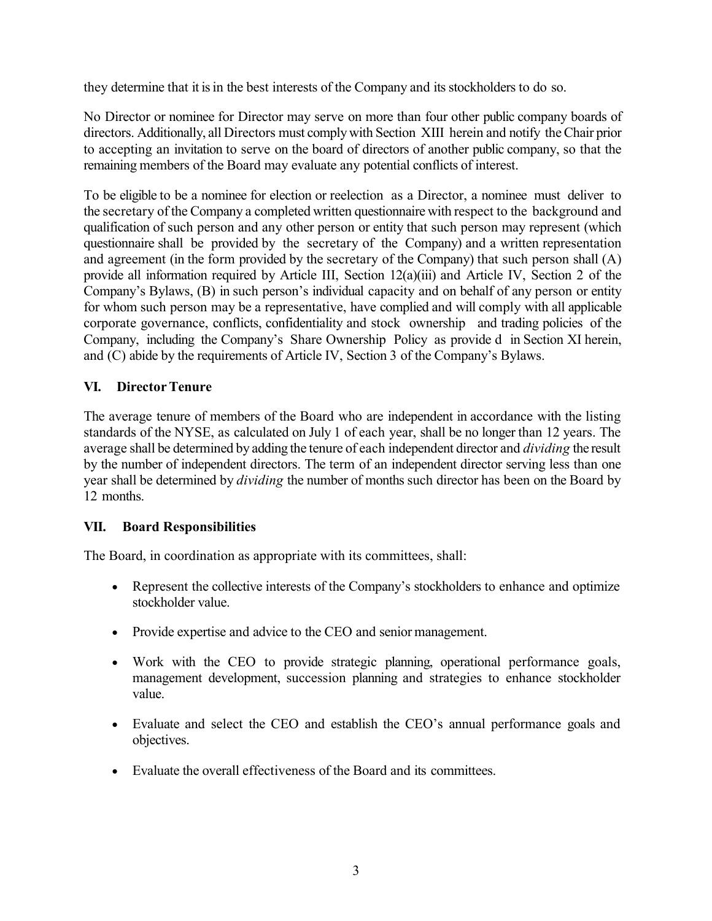they determine that it is in the best interests of the Company and its stockholders to do so.

No Director or nominee for Director may serve on more than four other public company boards of directors. Additionally, all Directors must comply with Section XIII herein and notify the Chair prior to accepting an invitation to serve on the board of directors of another public company, so that the remaining members of the Board may evaluate any potential conflicts of interest.

To be eligible to be a nominee for election or reelection as a Director, a nominee must deliver to the secretary of the Company a completed written questionnaire with respect to the background and qualification of such person and any other person or entity that such person may represent (which questionnaire shall be provided by the secretary of the Company) and a written representation and agreement (in the form provided by the secretary of the Company) that such person shall (A) provide all information required by Article III, Section 12(a)(iii) and Article IV, Section 2 of the Company's Bylaws, (B) in such person's individual capacity and on behalf of any person or entity for whom such person may be a representative, have complied and will comply with all applicable corporate governance, conflicts, confidentiality and stock ownership and trading policies of the Company, including the Company's Share Ownership Policy as provide d in Section XI herein, and (C) abide by the requirements of Article IV, Section 3 of the Company's Bylaws.

## **VI. DirectorTenure**

The average tenure of members of the Board who are independent in accordance with the listing standards of the NYSE, as calculated on July 1 of each year, shall be no longer than 12 years. The average shall be determined by adding the tenure of each independent director and *dividing* the result by the number of independent directors. The term of an independent director serving less than one year shall be determined by *dividing* the number of months such director has been on the Board by 12 months.

## **VII. Board Responsibilities**

The Board, in coordination as appropriate with its committees, shall:

- Represent the collective interests of the Company's stockholders to enhance and optimize stockholder value.
- Provide expertise and advice to the CEO and senior management.
- Work with the CEO to provide strategic planning, operational performance goals, management development, succession planning and strategies to enhance stockholder value.
- Evaluate and select the CEO and establish the CEO's annual performance goals and objectives.
- Evaluate the overall effectiveness of the Board and its committees.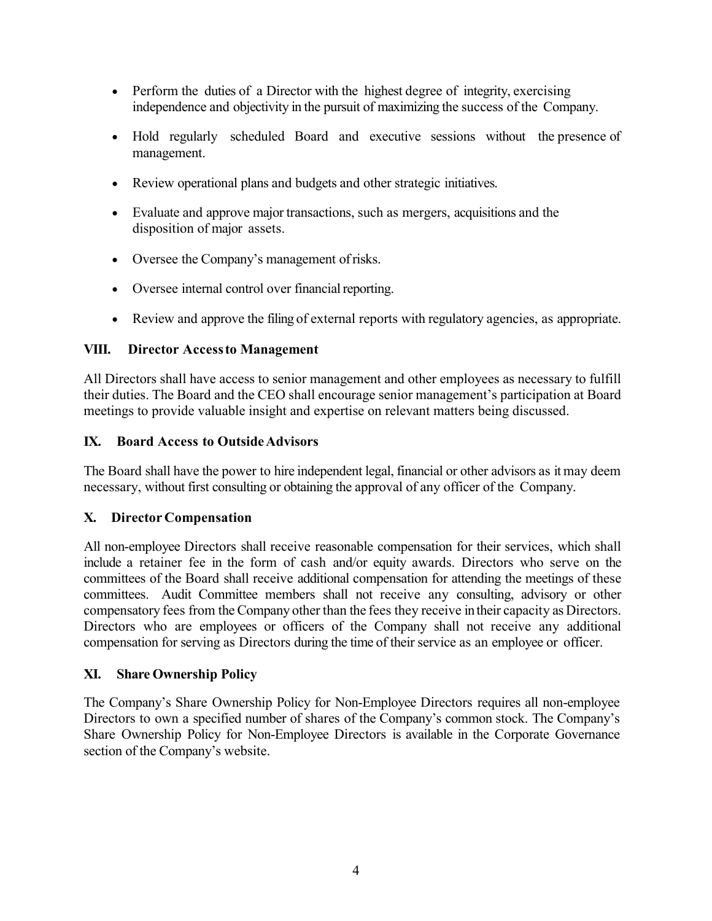- Perform the duties of a Director with the highest degree of integrity, exercising independence and objectivity in the pursuit of maximizing the success of the Company.
- Hold regularly scheduled Board and executive sessions without the presence of management.
- Review operational plans and budgets and other strategic initiatives.
- Evaluate and approve major transactions, such as mergers, acquisitions and the disposition of major assets.
- Oversee the Company's management ofrisks.
- Oversee internal control over financial reporting.
- Review and approve the filing of external reports with regulatory agencies, as appropriate.

### **VIII. Director Accessto Management**

All Directors shall have access to senior management and other employees as necessary to fulfill their duties. The Board and the CEO shall encourage senior management's participation at Board meetings to provide valuable insight and expertise on relevant matters being discussed.

### **IX. Board Access to OutsideAdvisors**

The Board shall have the power to hire independent legal, financial or other advisors as it may deem necessary, without first consulting or obtaining the approval of any officer of the Company.

## **X. Director Compensation**

All non-employee Directors shall receive reasonable compensation for their services, which shall include a retainer fee in the form of cash and/or equity awards. Directors who serve on the committees of the Board shall receive additional compensation for attending the meetings of these committees. Audit Committee members shall not receive any consulting, advisory or other compensatory fees from the Company other than the fees they receive in their capacity as Directors. Directors who are employees or officers of the Company shall not receive any additional compensation for serving as Directors during the time of their service as an employee or officer.

## **XI. Share Ownership Policy**

The Company's Share Ownership Policy for Non-Employee Directors requires all non-employee Directors to own a specified number of shares of the Company's common stock. The Company's Share Ownership Policy for Non-Employee Directors is available in the Corporate Governance section of the Company's website.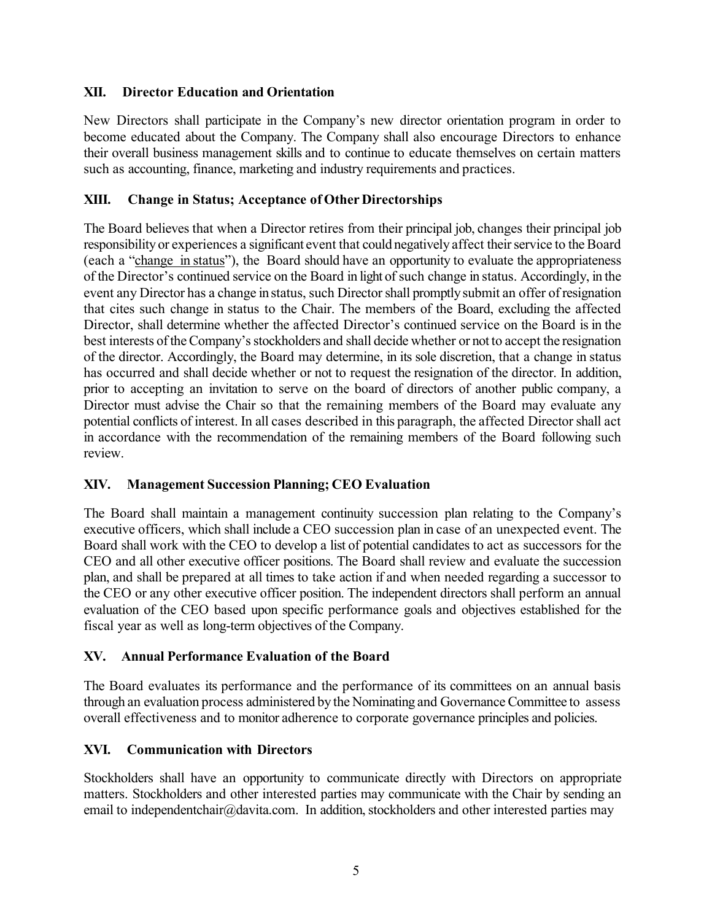### **XII. Director Education and Orientation**

New Directors shall participate in the Company's new director orientation program in order to become educated about the Company. The Company shall also encourage Directors to enhance their overall business management skills and to continue to educate themselves on certain matters such as accounting, finance, marketing and industry requirements and practices.

### **XIII. Change in Status; Acceptance of Other Directorships**

The Board believes that when a Director retires from their principal job, changes their principal job responsibility or experiences a significant event that could negatively affect their service to the Board (each a "change in status"), the Board should have an opportunity to evaluate the appropriateness of the Director's continued service on the Board in light of such change in status. Accordingly, in the event any Director has a change in status, such Director shall promptly submit an offer of resignation that cites such change in status to the Chair. The members of the Board, excluding the affected Director, shall determine whether the affected Director's continued service on the Board is in the best interests of the Company's stockholders and shall decide whether or not to accept the resignation of the director. Accordingly, the Board may determine, in its sole discretion, that a change in status has occurred and shall decide whether or not to request the resignation of the director. In addition, prior to accepting an invitation to serve on the board of directors of another public company, a Director must advise the Chair so that the remaining members of the Board may evaluate any potential conflicts of interest. In all cases described in this paragraph, the affected Director shall act in accordance with the recommendation of the remaining members of the Board following such review.

#### **XIV. Management Succession Planning; CEO Evaluation**

The Board shall maintain a management continuity succession plan relating to the Company's executive officers, which shall include a CEO succession plan in case of an unexpected event. The Board shall work with the CEO to develop a list of potential candidates to act as successors for the CEO and all other executive officer positions. The Board shall review and evaluate the succession plan, and shall be prepared at all times to take action if and when needed regarding a successor to the CEO or any other executive officer position. The independent directors shall perform an annual evaluation of the CEO based upon specific performance goals and objectives established for the fiscal year as well as long-term objectives of the Company.

## **XV. Annual Performance Evaluation of the Board**

The Board evaluates its performance and the performance of its committees on an annual basis through an evaluation process administered by the Nominating and Governance Committee to assess overall effectiveness and to monitor adherence to corporate governance principles and policies.

#### **XVI. Communication with Directors**

Stockholders shall have an opportunity to communicate directly with Directors on appropriate matters. Stockholders and other interested parties may communicate with the Chair by sending an email to [independentchair@davita.com.](mailto:independentchair@davita.com) In addition, stockholders and other interested parties may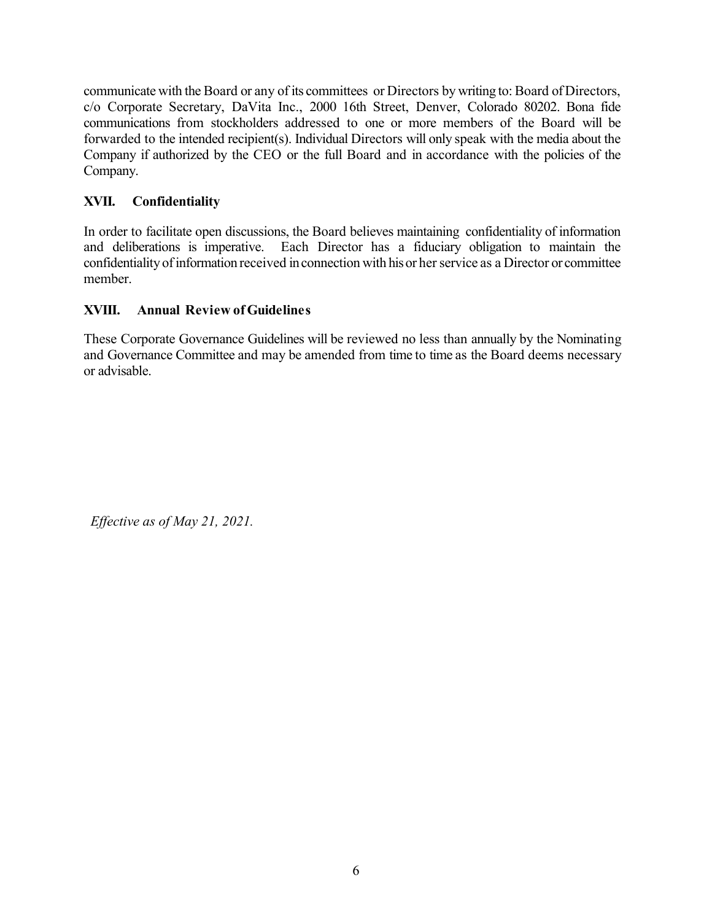communicate with the Board or any of its committees or Directors by writing to: Board of Directors, c/o Corporate Secretary, DaVita Inc., 2000 16th Street, Denver, Colorado 80202. Bona fide communications from stockholders addressed to one or more members of the Board will be forwarded to the intended recipient(s). Individual Directors will only speak with the media about the Company if authorized by the CEO or the full Board and in accordance with the policies of the Company.

# **XVII. Confidentiality**

In order to facilitate open discussions, the Board believes maintaining confidentiality of information and deliberations is imperative. Each Director has a fiduciary obligation to maintain the confidentiality of information received in connection with his or her service as a Director or committee member.

## **XVIII. Annual Review of Guidelines**

These Corporate Governance Guidelines will be reviewed no less than annually by the Nominating and Governance Committee and may be amended from time to time as the Board deems necessary or advisable.

*Effective as of May 21, 2021.*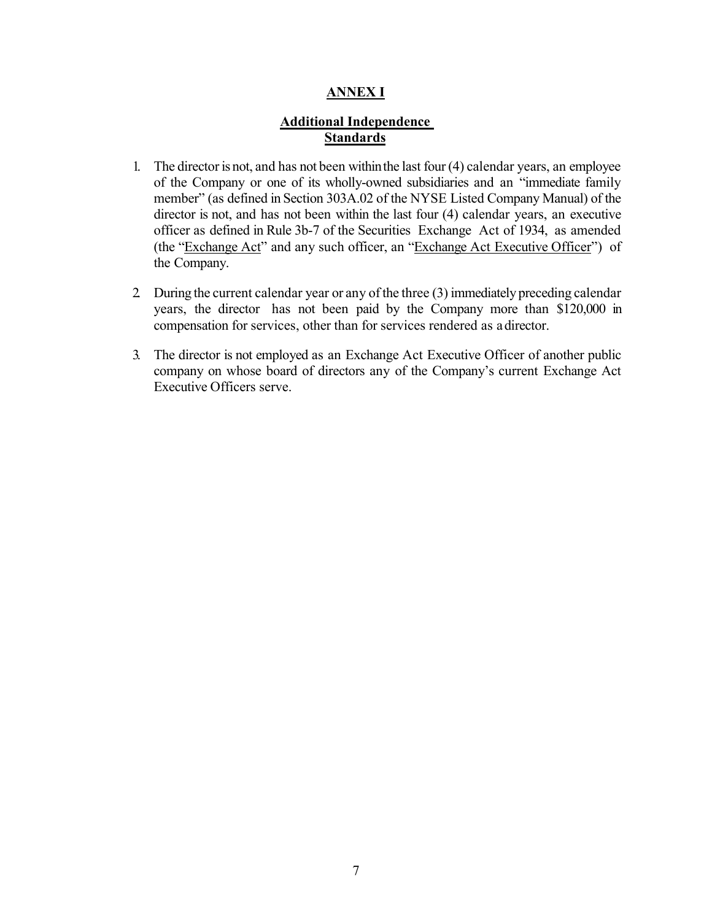#### **ANNEX I**

## **Additional Independence Standards**

- 1. The director is not, and has not been withinthe last four (4) calendar years, an employee of the Company or one of its wholly-owned subsidiaries and an "immediate family member" (as defined in Section 303A.02 of the NYSE Listed Company Manual) of the director is not, and has not been within the last four (4) calendar years, an executive officer as defined in Rule 3b-7 of the Securities Exchange Act of 1934, as amended (the "Exchange Act" and any such officer, an "Exchange Act Executive Officer") of the Company.
- 2. During the current calendar year or any of the three (3) immediately preceding calendar years, the director has not been paid by the Company more than \$120,000 in compensation for services, other than for services rendered as adirector.
- 3. The director is not employed as an Exchange Act Executive Officer of another public company on whose board of directors any of the Company's current Exchange Act Executive Officers serve.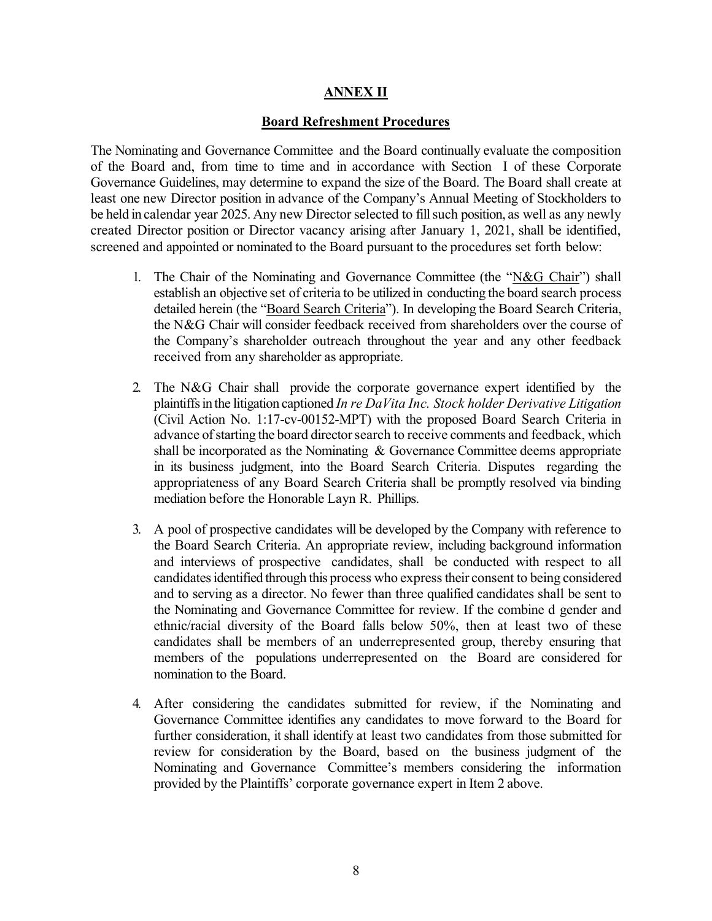#### **ANNEX II**

#### **Board Refreshment Procedures**

The Nominating and Governance Committee and the Board continually evaluate the composition of the Board and, from time to time and in accordance with Section I of these Corporate Governance Guidelines, may determine to expand the size of the Board. The Board shall create at least one new Director position in advance of the Company's Annual Meeting of Stockholders to be held in calendar year 2025. Any new Director selected to fill such position, as well as any newly created Director position or Director vacancy arising after January 1, 2021, shall be identified, screened and appointed or nominated to the Board pursuant to the procedures set forth below:

- 1. The Chair of the Nominating and Governance Committee (the "N&G Chair") shall establish an objective set of criteria to be utilized in conducting the board search process detailed herein (the "Board Search Criteria"). In developing the Board Search Criteria, the N&G Chair will consider feedback received from shareholders over the course of the Company's shareholder outreach throughout the year and any other feedback received from any shareholder as appropriate.
- 2. The N&G Chair shall provide the corporate governance expert identified by the plaintiffs in the litigation captioned *In re DaVita Inc. Stock holder Derivative Litigation*  (Civil Action No. 1:17-cv-00152-MPT) with the proposed Board Search Criteria in advance of starting the board director search to receive comments and feedback, which shall be incorporated as the Nominating  $\&$  Governance Committee deems appropriate in its business judgment, into the Board Search Criteria. Disputes regarding the appropriateness of any Board Search Criteria shall be promptly resolved via binding mediation before the Honorable Layn R. Phillips.
- 3. A pool of prospective candidates will be developed by the Company with reference to the Board Search Criteria. An appropriate review, including background information and interviews of prospective candidates, shall be conducted with respect to all candidates identified through this process who express their consent to being considered and to serving as a director. No fewer than three qualified candidates shall be sent to the Nominating and Governance Committee for review. If the combine d gender and ethnic/racial diversity of the Board falls below 50%, then at least two of these candidates shall be members of an underrepresented group, thereby ensuring that members of the populations underrepresented on the Board are considered for nomination to the Board.
- 4. After considering the candidates submitted for review, if the Nominating and Governance Committee identifies any candidates to move forward to the Board for further consideration, it shall identify at least two candidates from those submitted for review for consideration by the Board, based on the business judgment of the Nominating and Governance Committee's members considering the information provided by the Plaintiffs' corporate governance expert in Item 2 above.